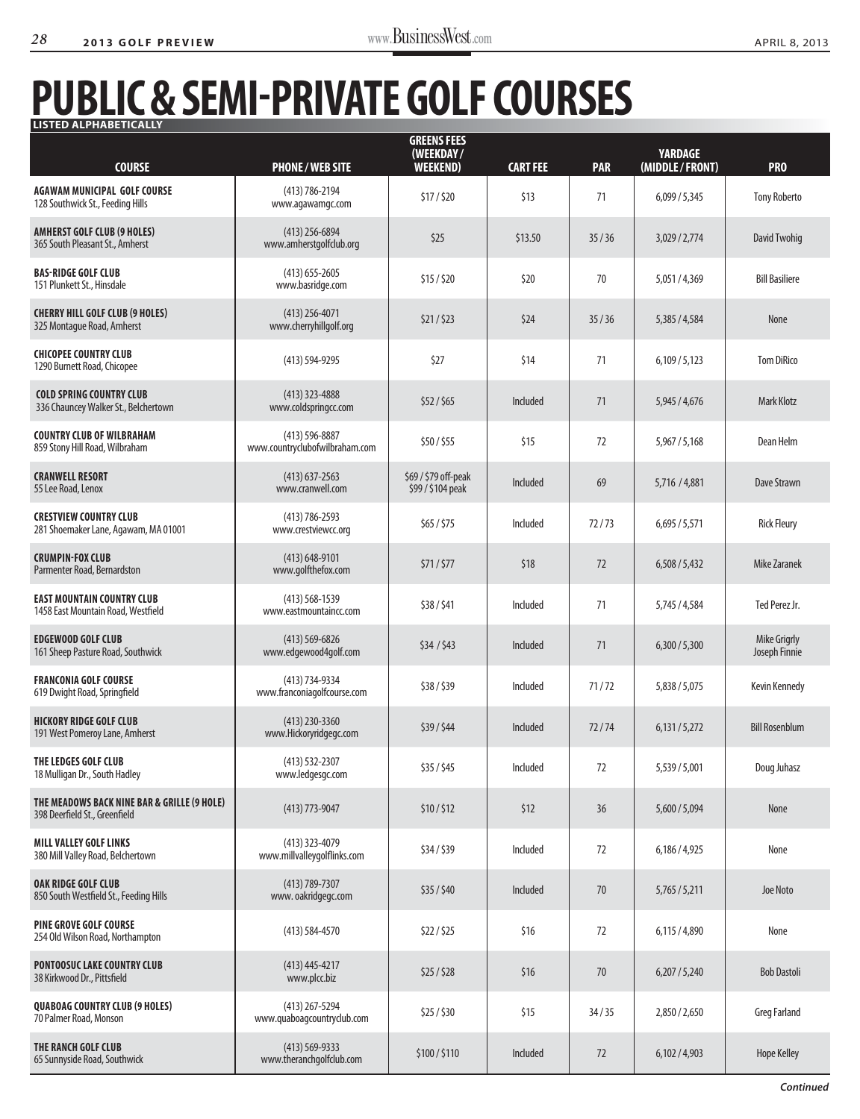## **Public& Semi-private Golf Courses Listed Alphabetically**

| <b>COURSE</b>                                                                | <b>PHONE/WEB SITE</b>                                | <b>GREENS FEES</b><br>(WEEKDAY/<br><b>WEEKEND)</b> | <b>CART FEE</b> | <b>PAR</b> | <b>YARDAGE</b><br>(MIDDLE/FRONT) | <b>PRO</b>                    |
|------------------------------------------------------------------------------|------------------------------------------------------|----------------------------------------------------|-----------------|------------|----------------------------------|-------------------------------|
| <b>AGAWAM MUNICIPAL GOLF COURSE</b><br>128 Southwick St., Feeding Hills      | (413) 786-2194<br>www.agawamgc.com                   | \$17/520                                           | \$13            | 71         | 6,099/5,345                      | <b>Tony Roberto</b>           |
| <b>AMHERST GOLF CLUB (9 HOLES)</b><br>365 South Pleasant St., Amherst        | $(413)$ 256-6894<br>www.amherstgolfclub.org          | \$25                                               | \$13.50         | 35/36      | 3,029 / 2,774                    | David Twohiq                  |
| <b>BAS-RIDGE GOLF CLUB</b><br>151 Plunkett St., Hinsdale                     | $(413)$ 655-2605<br>www.basridge.com                 | \$15/520                                           | \$20            | 70         | 5,051/4,369                      | <b>Bill Basiliere</b>         |
| <b>CHERRY HILL GOLF CLUB (9 HOLES)</b><br>325 Montague Road, Amherst         | $(413)$ 256-4071<br>www.cherryhillgolf.org           | \$21/523                                           | \$24            | 35/36      | 5,385 / 4,584                    | None                          |
| <b>CHICOPEE COUNTRY CLUB</b><br>1290 Burnett Road, Chicopee                  | $(413) 594 - 9295$                                   | \$27                                               | \$14            | 71         | 6,109/5,123                      | <b>Tom DiRico</b>             |
| <b>COLD SPRING COUNTRY CLUB</b><br>336 Chauncey Walker St., Belchertown      | $(413)$ 323-4888<br>www.coldspringcc.com             | \$52/565                                           | Included        | 71         | 5,945 / 4,676                    | <b>Mark Klotz</b>             |
| <b>COUNTRY CLUB OF WILBRAHAM</b><br>859 Stony Hill Road, Wilbraham           | $(413) 596 - 8887$<br>www.countryclubofwilbraham.com | \$50/\$55                                          | \$15            | 72         | 5,967 / 5,168                    | Dean Helm                     |
| <b>CRANWELL RESORT</b><br>55 Lee Road, Lenox                                 | $(413)$ 637-2563<br>www.cranwell.com                 | \$69 / \$79 off-peak<br>\$99 / \$104 peak          | Included        | 69         | 5,716 / 4,881                    | <b>Dave Strawn</b>            |
| <b>CRESTVIEW COUNTRY CLUB</b><br>281 Shoemaker Lane, Agawam, MA 01001        | $(413) 786 - 2593$<br>www.crestviewcc.org            | \$65/\$75                                          | Included        | 72/73      | 6,695/5,571                      | <b>Rick Fleury</b>            |
| <b>CRUMPIN-FOX CLUB</b><br>Parmenter Road, Bernardston                       | $(413) 648 - 9101$<br>www.golfthefox.com             | \$71/\$77                                          | \$18            | 72         | 6,508/5,432                      | <b>Mike Zaranek</b>           |
| <b>EAST MOUNTAIN COUNTRY CLUB</b><br>1458 East Mountain Road, Westfield      | $(413) 568 - 1539$<br>www.eastmountaincc.com         | \$38/\$41                                          | Included        | 71         | 5,745 / 4,584                    | Ted Perez Jr.                 |
| <b>EDGEWOOD GOLF CLUB</b><br>161 Sheep Pasture Road, Southwick               | $(413) 569 - 6826$<br>www.edgewood4golf.com          | \$34 / \$43                                        | Included        | 71         | 6,300/5,300                      | Mike Grigrly<br>Joseph Finnie |
| <b>FRANCONIA GOLF COURSE</b><br>619 Dwight Road, Springfield                 | (413) 734-9334<br>www.franconiagolfcourse.com        | \$38/\$39                                          | Included        | 71/72      | 5,838 / 5,075                    | <b>Kevin Kennedy</b>          |
| <b>HICKORY RIDGE GOLF CLUB</b><br>191 West Pomeroy Lane, Amherst             | $(413)$ 230-3360<br>www.Hickoryridgegc.com           | \$39/\$44                                          | Included        | 72/74      | 6,131/5,272                      | <b>Bill Rosenblum</b>         |
| THE LEDGES GOLF CLUB<br>18 Mulligan Dr., South Hadley                        | $(413) 532 - 2307$<br>www.ledgesgc.com               | \$35/\$45                                          | Included        | 72         | 5,539 / 5,001                    | Doug Juhasz                   |
| THE MEADOWS BACK NINE BAR & GRILLE (9 HOLE)<br>398 Deerfield St., Greenfield | $(413)$ 773-9047                                     | \$10/\$12                                          | \$12            | 36         | 5,600 / 5,094                    | None                          |
| <b>MILL VALLEY GOLF LINKS</b><br>380 Mill Valley Road, Belchertown           | $(413)$ 323-4079<br>www.millvalleygolflinks.com      | \$34/\$39                                          | Included        | 72         | 6,186 / 4,925                    | None                          |
| <b>OAK RIDGE GOLF CLUB</b><br>850 South Westfield St., Feeding Hills         | (413) 789-7307<br>www.oakridgegc.com                 | \$35/\$40                                          | Included        | $70$       | 5,765/5,211                      | Joe Noto                      |
| <b>PINE GROVE GOLF COURSE</b><br>254 Old Wilson Road, Northampton            | $(413) 584 - 4570$                                   | \$22/\$25                                          | \$16            | 72         | 6,115/4,890                      | None                          |
| <b>PONTOOSUC LAKE COUNTRY CLUB</b><br>38 Kirkwood Dr., Pittsfield            | $(413)$ 445-4217<br>www.plcc.biz                     | \$25/\$28                                          | \$16            | 70         | 6,207/5,240                      | <b>Bob Dastoli</b>            |
| <b>QUABOAG COUNTRY CLUB (9 HOLES)</b><br>70 Palmer Road, Monson              | (413) 267-5294<br>www.quaboagcountryclub.com         | \$25/\$30                                          | \$15            | 34/35      | 2,850 / 2,650                    | <b>Greg Farland</b>           |
| <b>THE RANCH GOLF CLUB</b><br>65 Sunnyside Road, Southwick                   | $(413) 569 - 9333$<br>www.theranchgolfclub.com       | \$100/\$110                                        | Included        | 72         | 6,102/4,903                      | <b>Hope Kelley</b>            |